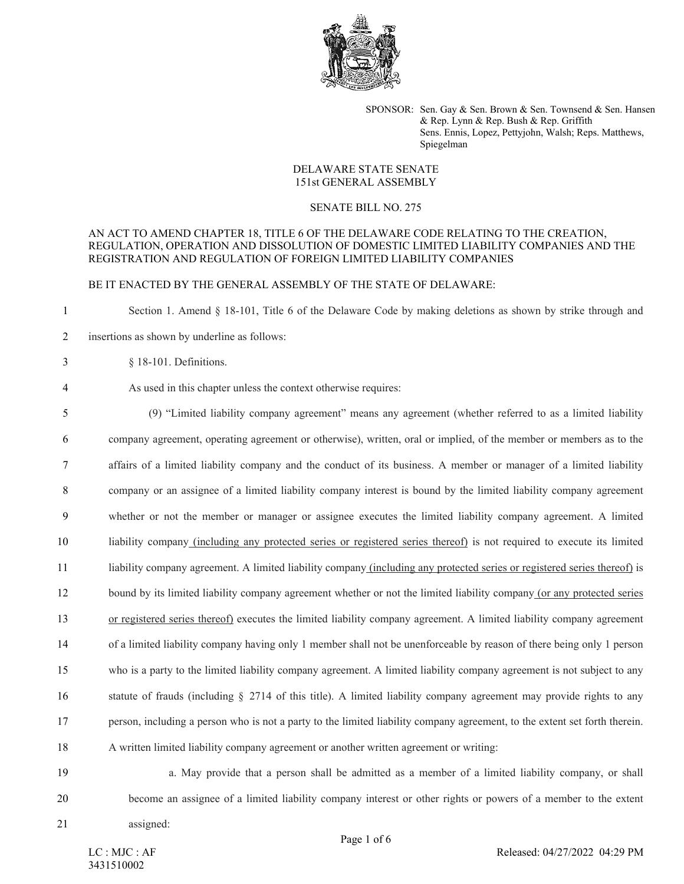

SPONSOR: Sen. Gay & Sen. Brown & Sen. Townsend & Sen. Hansen & Rep. Lynn & Rep. Bush & Rep. Griffith Sens. Ennis, Lopez, Pettyjohn, Walsh; Reps. Matthews, Spiegelman

# DELAWARE STATE SENATE 151st GENERAL ASSEMBLY

### SENATE BILL NO. 275

## AN ACT TO AMEND CHAPTER 18, TITLE 6 OF THE DELAWARE CODE RELATING TO THE CREATION, REGULATION, OPERATION AND DISSOLUTION OF DOMESTIC LIMITED LIABILITY COMPANIES AND THE REGISTRATION AND REGULATION OF FOREIGN LIMITED LIABILITY COMPANIES

### BE IT ENACTED BY THE GENERAL ASSEMBLY OF THE STATE OF DELAWARE:

1 Section 1. Amend § 18-101, Title 6 of the Delaware Code by making deletions as shown by strike through and 2 insertions as shown by underline as follows:

- 
- 3 § 18-101. Definitions.

# 4 As used in this chapter unless the context otherwise requires:

 (9) "Limited liability company agreement" means any agreement (whether referred to as a limited liability company agreement, operating agreement or otherwise), written, oral or implied, of the member or members as to the affairs of a limited liability company and the conduct of its business. A member or manager of a limited liability company or an assignee of a limited liability company interest is bound by the limited liability company agreement whether or not the member or manager or assignee executes the limited liability company agreement. A limited liability company (including any protected series or registered series thereof) is not required to execute its limited liability company agreement. A limited liability company (including any protected series or registered series thereof) is 12 bound by its limited liability company agreement whether or not the limited liability company (or any protected series or registered series thereof) executes the limited liability company agreement. A limited liability company agreement of a limited liability company having only 1 member shall not be unenforceable by reason of there being only 1 person who is a party to the limited liability company agreement. A limited liability company agreement is not subject to any statute of frauds (including § 2714 of this title). A limited liability company agreement may provide rights to any person, including a person who is not a party to the limited liability company agreement, to the extent set forth therein. A written limited liability company agreement or another written agreement or writing:

19 a. May provide that a person shall be admitted as a member of a limited liability company, or shall 20 become an assignee of a limited liability company interest or other rights or powers of a member to the extent

21 assigned: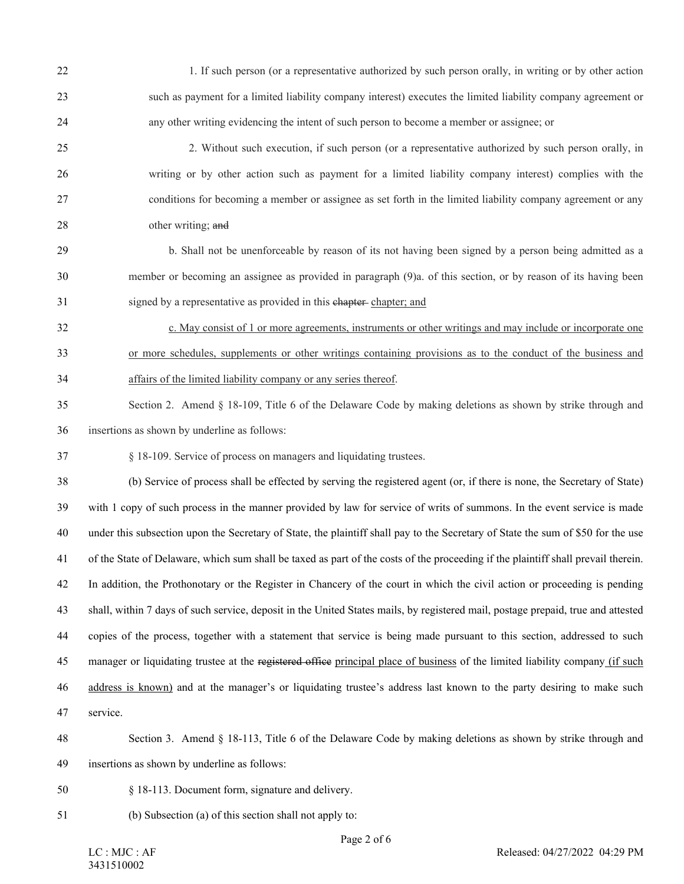| 22 | 1. If such person (or a representative authorized by such person orally, in writing or by other action                            |
|----|-----------------------------------------------------------------------------------------------------------------------------------|
| 23 | such as payment for a limited liability company interest) executes the limited liability company agreement or                     |
| 24 | any other writing evidencing the intent of such person to become a member or assignee; or                                         |
| 25 | 2. Without such execution, if such person (or a representative authorized by such person orally, in                               |
| 26 | writing or by other action such as payment for a limited liability company interest) complies with the                            |
| 27 | conditions for becoming a member or assignee as set forth in the limited liability company agreement or any                       |
| 28 | other writing; and                                                                                                                |
| 29 | b. Shall not be unenforceable by reason of its not having been signed by a person being admitted as a                             |
| 30 | member or becoming an assignee as provided in paragraph (9)a. of this section, or by reason of its having been                    |
| 31 | signed by a representative as provided in this chapter-chapter; and                                                               |
| 32 | c. May consist of 1 or more agreements, instruments or other writings and may include or incorporate one                          |
| 33 | or more schedules, supplements or other writings containing provisions as to the conduct of the business and                      |
| 34 | affairs of the limited liability company or any series thereof.                                                                   |
| 35 | Section 2. Amend § 18-109, Title 6 of the Delaware Code by making deletions as shown by strike through and                        |
| 36 | insertions as shown by underline as follows:                                                                                      |
| 37 | § 18-109. Service of process on managers and liquidating trustees.                                                                |
| 38 | (b) Service of process shall be effected by serving the registered agent (or, if there is none, the Secretary of State)           |
| 39 | with 1 copy of such process in the manner provided by law for service of writs of summons. In the event service is made           |
| 40 | under this subsection upon the Secretary of State, the plaintiff shall pay to the Secretary of State the sum of \$50 for the use  |
| 41 | of the State of Delaware, which sum shall be taxed as part of the costs of the proceeding if the plaintiff shall prevail therein. |
| 42 | In addition, the Prothonotary or the Register in Chancery of the court in which the civil action or proceeding is pending         |
| 43 | shall, within 7 days of such service, deposit in the United States mails, by registered mail, postage prepaid, true and attested  |
| 44 | copies of the process, together with a statement that service is being made pursuant to this section, addressed to such           |
| 45 | manager or liquidating trustee at the registered office principal place of business of the limited liability company (if such     |
| 46 | address is known) and at the manager's or liquidating trustee's address last known to the party desiring to make such             |
| 47 | service.                                                                                                                          |
| 48 | Section 3. Amend § 18-113, Title 6 of the Delaware Code by making deletions as shown by strike through and                        |
| 49 | insertions as shown by underline as follows:                                                                                      |
| 50 | § 18-113. Document form, signature and delivery.                                                                                  |
| 51 | (b) Subsection (a) of this section shall not apply to:                                                                            |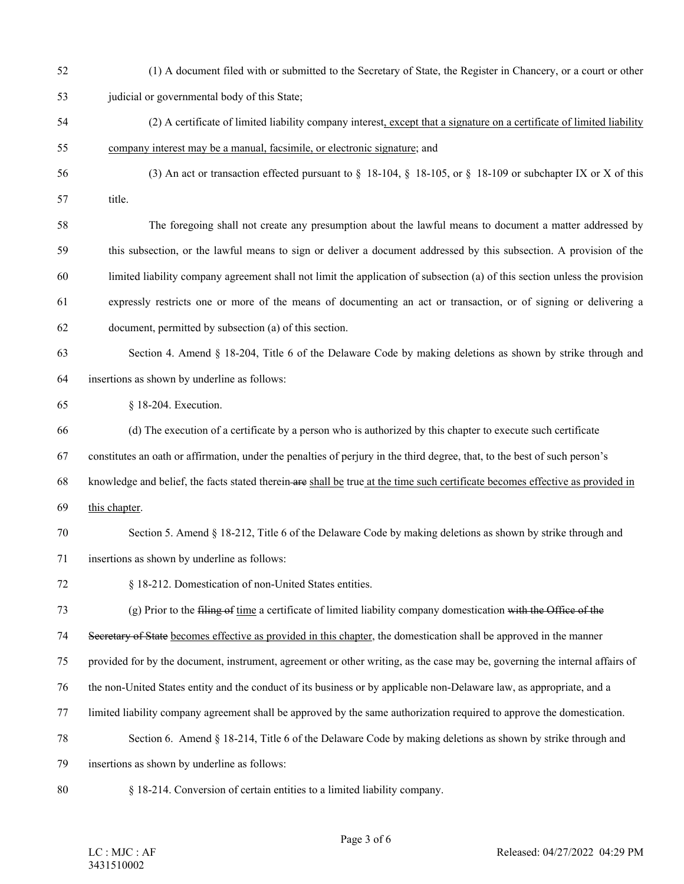52 (1) A document filed with or submitted to the Secretary of State, the Register in Chancery, or a court or other

53 judicial or governmental body of this State;

- 54 (2) A certificate of limited liability company interest, except that a signature on a certificate of limited liability 55 company interest may be a manual, facsimile, or electronic signature; and
- 56 (3) An act or transaction effected pursuant to §  18-104, §  18-105, or §  18-109 or subchapter IX or X of this 57 title.
- 58 The foregoing shall not create any presumption about the lawful means to document a matter addressed by 59 this subsection, or the lawful means to sign or deliver a document addressed by this subsection. A provision of the 60 limited liability company agreement shall not limit the application of subsection (a) of this section unless the provision 61 expressly restricts one or more of the means of documenting an act or transaction, or of signing or delivering a 62 document, permitted by subsection (a) of this section.
- 63 Section 4. Amend § 18-204, Title 6 of the Delaware Code by making deletions as shown by strike through and 64 insertions as shown by underline as follows:

65 § 18-204. Execution.

66 (d) The execution of a certificate by a person who is authorized by this chapter to execute such certificate

67 constitutes an oath or affirmation, under the penalties of perjury in the third degree, that, to the best of such person's

- 68 knowledge and belief, the facts stated therein are shall be true at the time such certificate becomes effective as provided in
- 69 this chapter.
- 70 Section 5. Amend § 18-212, Title 6 of the Delaware Code by making deletions as shown by strike through and 71 insertions as shown by underline as follows:
- 72 § 18-212. Domestication of non-United States entities.

73 (g) Prior to the filing of time a certificate of limited liability company domestication with the Office of the

74 Secretary of State becomes effective as provided in this chapter, the domestication shall be approved in the manner

75 provided for by the document, instrument, agreement or other writing, as the case may be, governing the internal affairs of

- 76 the non-United States entity and the conduct of its business or by applicable non-Delaware law, as appropriate, and a
- 77 limited liability company agreement shall be approved by the same authorization required to approve the domestication.
- 78 Section 6. Amend § 18-214, Title 6 of the Delaware Code by making deletions as shown by strike through and

79 insertions as shown by underline as follows:

80 § 18-214. Conversion of certain entities to a limited liability company.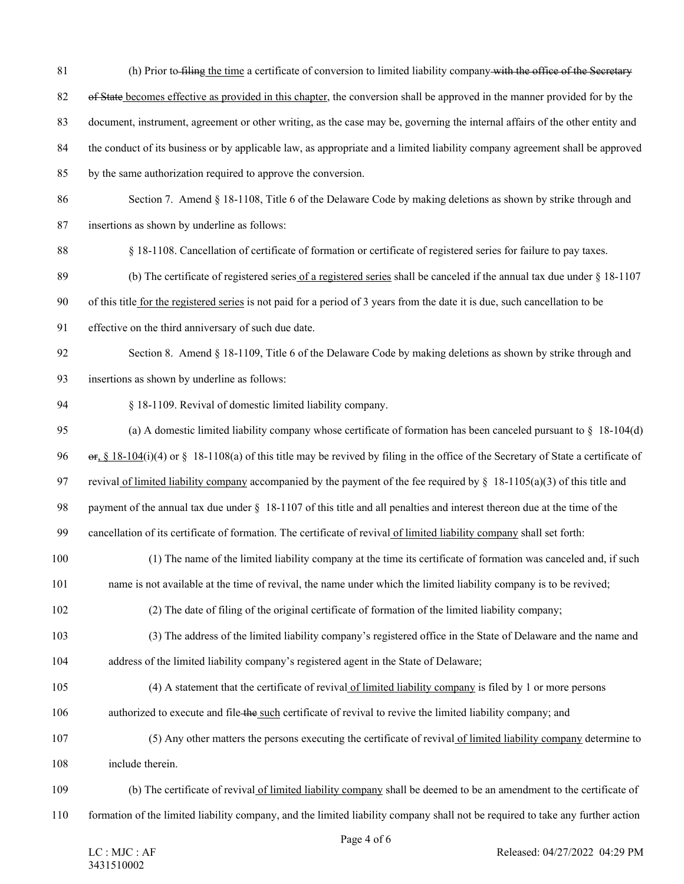- 81 (h) Prior to filing the time a certificate of conversion to limited liability company with the office of the Secretary
- 82 of State becomes effective as provided in this chapter, the conversion shall be approved in the manner provided for by the
- 83 document, instrument, agreement or other writing, as the case may be, governing the internal affairs of the other entity and
- 84 the conduct of its business or by applicable law, as appropriate and a limited liability company agreement shall be approved
- 85 by the same authorization required to approve the conversion.
- 86 Section 7. Amend § 18-1108, Title 6 of the Delaware Code by making deletions as shown by strike through and
- 87 insertions as shown by underline as follows:
- 88 § 18-1108. Cancellation of certificate of formation or certificate of registered series for failure to pay taxes.
- 89 (b) The certificate of registered series of a registered series shall be canceled if the annual tax due under § 18-1107
- 90 of this title for the registered series is not paid for a period of 3 years from the date it is due, such cancellation to be
- 91 effective on the third anniversary of such due date.
- 92 Section 8. Amend § 18-1109, Title 6 of the Delaware Code by making deletions as shown by strike through and 93 insertions as shown by underline as follows:
- 94 § 18-1109. Revival of domestic limited liability company.
- 95 (a) A domestic limited liability company whose certificate of formation has been canceled pursuant to § 18-104(d)
- 96 or, § 18-104(i)(4) or § 18-1108(a) of this title may be revived by filing in the office of the Secretary of State a certificate of
- 97 revival of limited liability company accompanied by the payment of the fee required by  $\S$  18-1105(a)(3) of this title and
- 98 payment of the annual tax due under § 18-1107 of this title and all penalties and interest thereon due at the time of the
- 99 cancellation of its certificate of formation. The certificate of revival of limited liability company shall set forth:
- 100 (1) The name of the limited liability company at the time its certificate of formation was canceled and, if such
- 101 name is not available at the time of revival, the name under which the limited liability company is to be revived;
- 102 (2) The date of filing of the original certificate of formation of the limited liability company;
- 103 (3) The address of the limited liability company's registered office in the State of Delaware and the name and

104 address of the limited liability company's registered agent in the State of Delaware;

- 105 (4) A statement that the certificate of revival of limited liability company is filed by 1 or more persons
- 106 authorized to execute and file the such certificate of revival to revive the limited liability company; and
- 107 (5) Any other matters the persons executing the certificate of revival of limited liability company determine to 108 include therein.
- 109 (b) The certificate of revival of limited liability company shall be deemed to be an amendment to the certificate of
- 110 formation of the limited liability company, and the limited liability company shall not be required to take any further action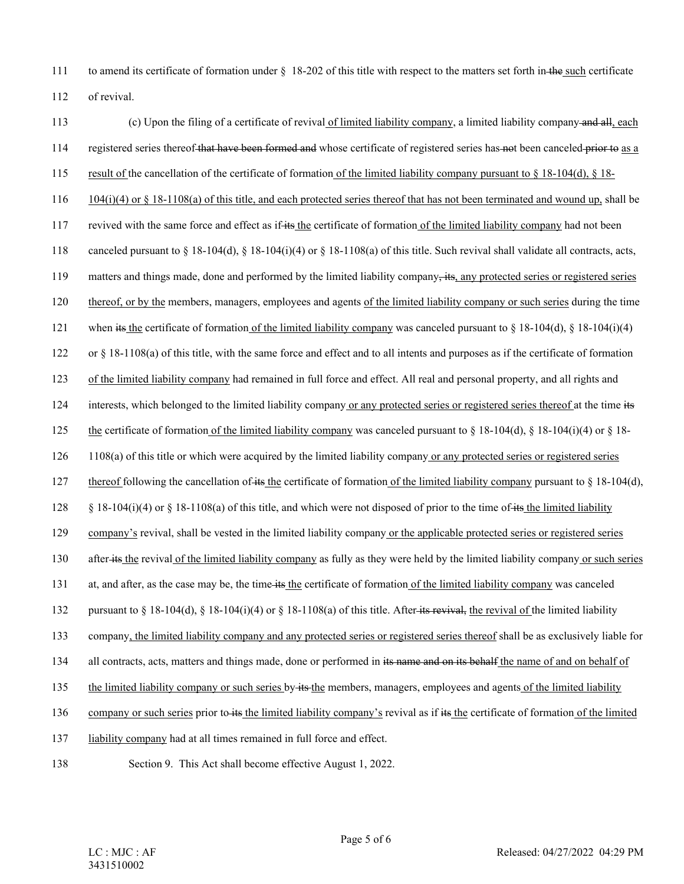111 to amend its certificate of formation under § 18-202 of this title with respect to the matters set forth in the such certificate 112 of revival.

113 (c) Upon the filing of a certificate of revival of limited liability company, a limited liability company and all, each 114 registered series thereof that have been formed and whose certificate of registered series has not been canceled prior to as a 115 result of the cancellation of the certificate of formation of the limited liability company pursuant to § 18-104(d), § 18- 116 104(i)(4) or § 18-1108(a) of this title, and each protected series thereof that has not been terminated and wound up, shall be 117 revived with the same force and effect as if its the certificate of formation of the limited liability company had not been 118 canceled pursuant to  $\S 18-104(d)$ ,  $\S 18-104(i)(4)$  or  $\S 18-1108(a)$  of this title. Such revival shall validate all contracts, acts, 119 matters and things made, done and performed by the limited liability company, its, any protected series or registered series 120 thereof, or by the members, managers, employees and agents of the limited liability company or such series during the time 121 when its the certificate of formation of the limited liability company was canceled pursuant to  $\S 18-104(d)$ ,  $\S 18-104(i)(4)$ 122 or § 18-1108(a) of this title, with the same force and effect and to all intents and purposes as if the certificate of formation 123 of the limited liability company had remained in full force and effect. All real and personal property, and all rights and 124 interests, which belonged to the limited liability company or any protected series or registered series thereof at the time its 125 the certificate of formation of the limited liability company was canceled pursuant to § 18-104(d), § 18-104(i)(4) or § 18- 126 1108(a) of this title or which were acquired by the limited liability company or any protected series or registered series 127 thereof following the cancellation of its the certificate of formation of the limited liability company pursuant to § 18-104(d), 128 § 18-104(i)(4) or § 18-1108(a) of this title, and which were not disposed of prior to the time of its the limited liability 129 company's revival, shall be vested in the limited liability company or the applicable protected series or registered series 130 after its the revival of the limited liability company as fully as they were held by the limited liability company or such series 131 at, and after, as the case may be, the time its the certificate of formation of the limited liability company was canceled 132 pursuant to § 18-104(d), § 18-104(i)(4) or § 18-1108(a) of this title. After-its revival, the revival of the limited liability 133 company, the limited liability company and any protected series or registered series thereof shall be as exclusively liable for 134 all contracts, acts, matters and things made, done or performed in its name and on its behalf the name of and on behalf of 135 the limited liability company or such series by its the members, managers, employees and agents of the limited liability 136 company or such series prior to its the limited liability company's revival as if its the certificate of formation of the limited 137 liability company had at all times remained in full force and effect. 138 Section 9. This Act shall become effective August 1, 2022.